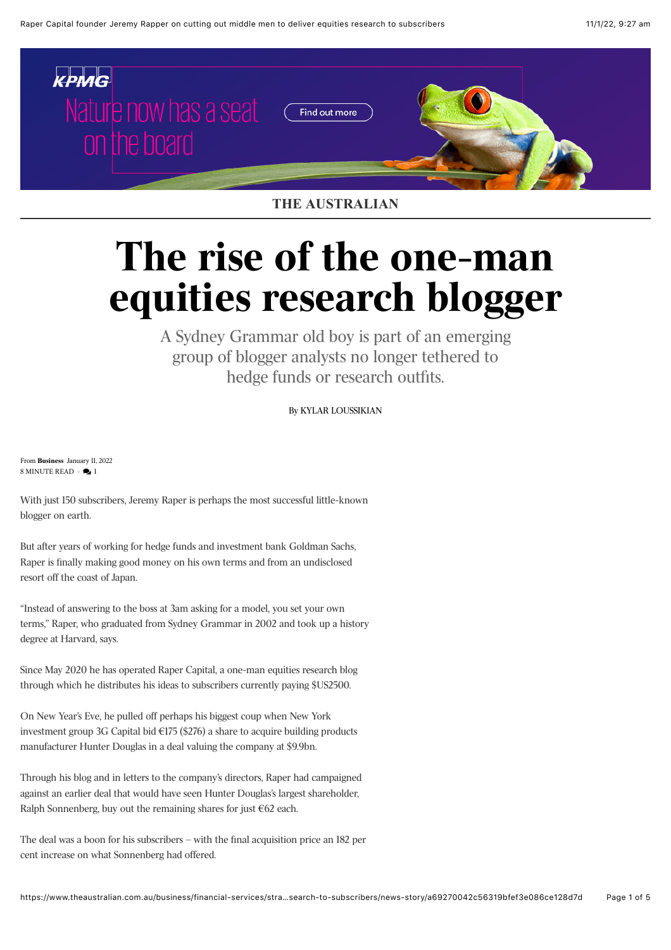

## **THE AUSTRALIAN**

## **The rise of the one-man equities research blogger**

A Sydney Grammar old boy is part of an emerging group of blogger analysts no longer tethered to hedge funds or research outfits.

By [KYLAR LOUSSIKIAN](https://www.theaustralian.com.au/author/Kylar+Loussikian)

From **[Business](https://www.theaustralian.com.au/business)** January 11, 2022  $8$  MINUTE READ  $\bullet$   $\bullet$  1

With just 150 subscribers, Jeremy Raper is perhaps the most successful little-known blogger on earth.

But after years of working for hedge funds and investment bank Goldman Sachs, Raper is finally making good money on his own terms and from an undisclosed resort off the coast of Japan.

"Instead of answering to the boss at 3am asking for a model, you set your own terms," Raper, who graduated from Sydney Grammar in 2002 and took up a history degree at Harvard, says.

Since May 2020 he has operated Raper Capital, a one-man equities research blog through which he distributes his ideas to subscribers currently paying \$US2500.

On New Year's Eve, he pulled off perhaps his biggest coup when New York investment group 3G Capital bid  $E$ 175 (\$276) a share to acquire building products manufacturer Hunter Douglas in a deal valuing the company at \$9.9bn.

Through his blog and in letters to the company's directors, Raper had campaigned against an earlier deal that would have seen Hunter Douglas's largest shareholder, Ralph Sonnenberg, buy out the remaining shares for just €62 each.

The deal was a boon for his subscribers – with the final acquisition price an 182 per cent increase on what Sonnenberg had offered.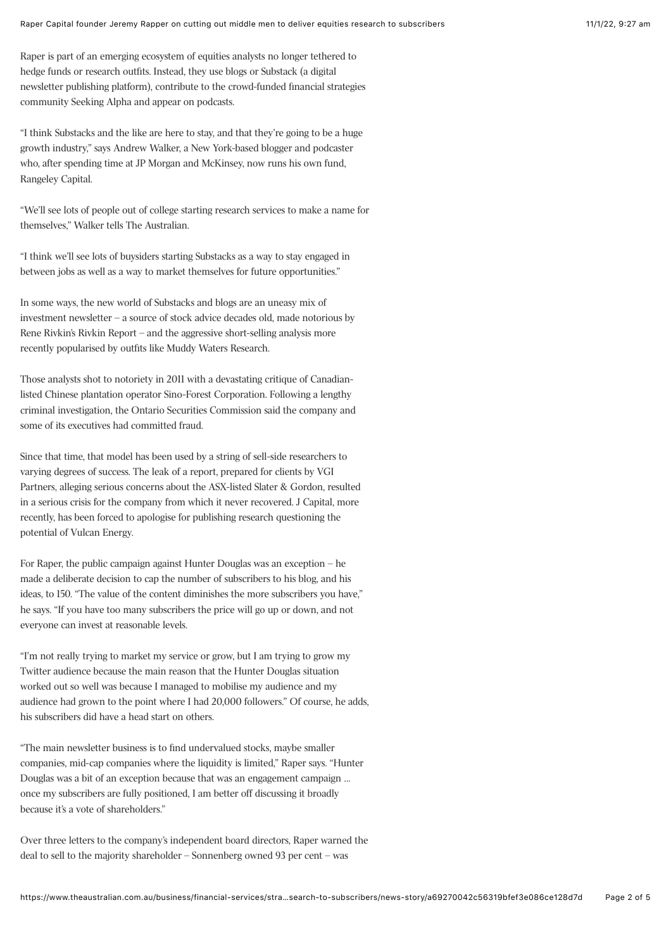Raper is part of an emerging ecosystem of equities analysts no longer tethered to hedge funds or research outfits. Instead, they use blogs or Substack (a digital newsletter publishing platform), contribute to the crowd-funded financial strategies community Seeking Alpha and appear on podcasts.

"I think Substacks and the like are here to stay, and that they're going to be a huge growth industry," says Andrew Walker, a New York-based blogger and podcaster who, after spending time at JP Morgan and McKinsey, now runs his own fund, Rangeley Capital.

"We'll see lots of people out of college starting research services to make a name for themselves," Walker tells The Australian.

"I think we'll see lots of buysiders starting Substacks as a way to stay engaged in between jobs as well as a way to market themselves for future opportunities."

In some ways, the new world of Substacks and blogs are an uneasy mix of investment newsletter – a source of stock advice decades old, made notorious by Rene Rivkin's Rivkin Report – and the aggressive short-selling analysis more recently popularised by outfits like Muddy Waters Research.

Those analysts shot to notoriety in 2011 with a devastating critique of Canadianlisted Chinese plantation operator Sino-Forest Corporation. Following a lengthy criminal investigation, the Ontario Securities Commission said the company and some of its executives had committed fraud.

Since that time, that model has been used by a string of sell-side researchers to varying degrees of success. The leak of a report, prepared for clients by VGI Partners, alleging serious concerns about the ASX-listed Slater & Gordon, resulted in a serious crisis for the company from which it never recovered. J Capital, more recently, has been forced to apologise for publishing research questioning the potential of Vulcan Energy.

For Raper, the public campaign against Hunter Douglas was an exception – he made a deliberate decision to cap the number of subscribers to his blog, and his ideas, to 150. "The value of the content diminishes the more subscribers you have," he says. "If you have too many subscribers the price will go up or down, and not everyone can invest at reasonable levels.

"I'm not really trying to market my service or grow, but I am trying to grow my Twitter audience because the main reason that the Hunter Douglas situation worked out so well was because I managed to mobilise my audience and my audience had grown to the point where I had 20,000 followers." Of course, he adds, his subscribers did have a head start on others.

"The main newsletter business is to find undervalued stocks, maybe smaller companies, mid-cap companies where the liquidity is limited," Raper says. "Hunter Douglas was a bit of an exception because that was an engagement campaign … once my subscribers are fully positioned, I am better off discussing it broadly because it's a vote of shareholders."

Over three letters to the company's independent board directors, Raper warned the deal to sell to the majority shareholder – Sonnenberg owned 93 per cent – was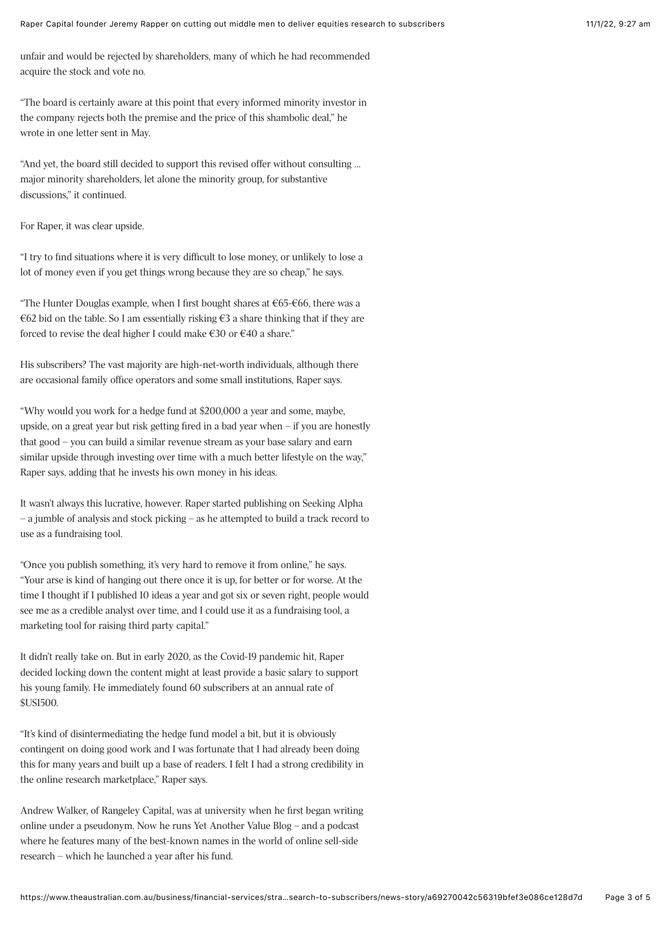unfair and would be rejected by shareholders, many of which he had recommended acquire the stock and vote no.

"The board is certainly aware at this point that every informed minority investor in the company rejects both the premise and the price of this shambolic deal," he wrote in one letter sent in May.

"And yet, the board still decided to support this revised offer without consulting … major minority shareholders, let alone the minority group, for substantive discussions," it continued.

For Raper, it was clear upside.

"I try to find situations where it is very difficult to lose money, or unlikely to lose a lot of money even if you get things wrong because they are so cheap," he says.

"The Hunter Douglas example, when I first bought shares at €65-€66, there was a €62 bid on the table. So I am essentially risking  $€3$  a share thinking that if they are forced to revise the deal higher I could make €30 or €40 a share."

His subscribers? The vast majority are high-net-worth individuals, although there are occasional family office operators and some small institutions, Raper says.

"Why would you work for a hedge fund at \$200,000 a year and some, maybe, upside, on a great year but risk getting fired in a bad year when – if you are honestly that good – you can build a similar revenue stream as your base salary and earn similar upside through investing over time with a much better lifestyle on the way," Raper says, adding that he invests his own money in his ideas.

It wasn't always this lucrative, however. Raper started publishing on Seeking Alpha – a jumble of analysis and stock picking – as he attempted to build a track record to use as a fundraising tool.

"Once you publish something, it's very hard to remove it from online," he says. "Your arse is kind of hanging out there once it is up, for better or for worse. At the time I thought if I published 10 ideas a year and got six or seven right, people would see me as a credible analyst over time, and I could use it as a fundraising tool, a marketing tool for raising third party capital."

It didn't really take on. But in early 2020, as the Covid-19 pandemic hit, Raper decided locking down the content might at least provide a basic salary to support his young family. He immediately found 60 subscribers at an annual rate of \$US1500.

"It's kind of disintermediating the hedge fund model a bit, but it is obviously contingent on doing good work and I was fortunate that I had already been doing this for many years and built up a base of readers. I felt I had a strong credibility in the online research marketplace," Raper says.

Andrew Walker, of Rangeley Capital, was at university when he first began writing online under a pseudonym. Now he runs Yet Another Value Blog – and a podcast where he features many of the best-known names in the world of online sell-side research – which he launched a year after his fund.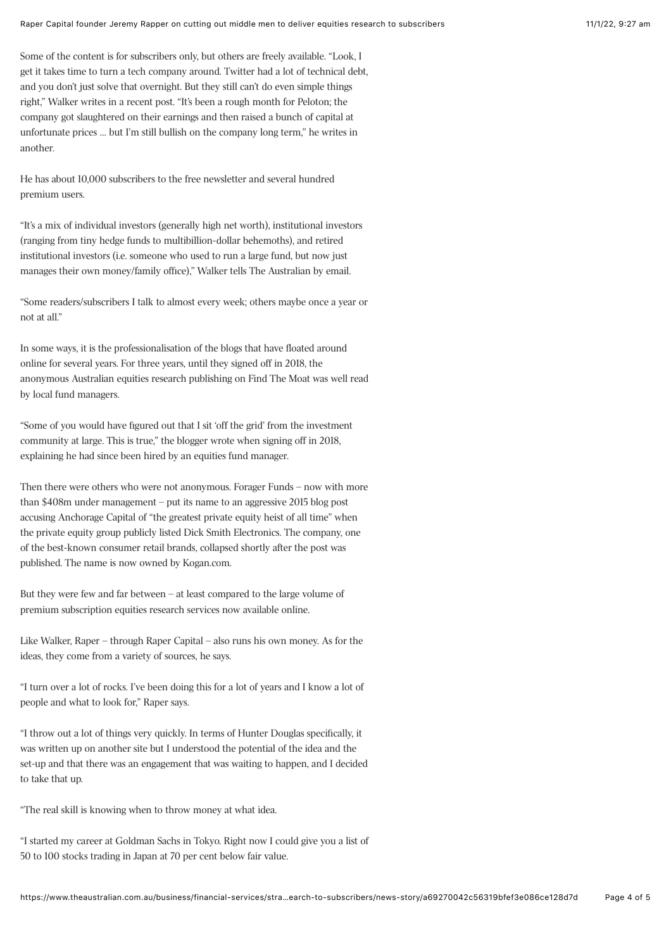Some of the content is for subscribers only, but others are freely available. "Look, I get it takes time to turn a tech company around. Twitter had a lot of technical debt, and you don't just solve that overnight. But they still can't do even simple things right," Walker writes in a recent post. "It's been a rough month for Peloton; the company got slaughtered on their earnings and then raised a bunch of capital at unfortunate prices … but I'm still bullish on the company long term," he writes in another.

He has about 10,000 subscribers to the free newsletter and several hundred premium users.

"It's a mix of individual investors (generally high net worth), institutional investors (ranging from tiny hedge funds to multibillion-dollar behemoths), and retired institutional investors (i.e. someone who used to run a large fund, but now just manages their own money/family office)," Walker tells The Australian by email.

"Some readers/subscribers I talk to almost every week; others maybe once a year or not at all."

In some ways, it is the professionalisation of the blogs that have floated around online for several years. For three years, until they signed off in 2018, the anonymous Australian equities research publishing on Find The Moat was well read by local fund managers.

"Some of you would have figured out that I sit 'off the grid' from the investment community at large. This is true," the blogger wrote when signing off in 2018, explaining he had since been hired by an equities fund manager.

Then there were others who were not anonymous. Forager Funds – now with more than \$408m under management – put its name to an aggressive 2015 blog post accusing Anchorage Capital of "the greatest private equity heist of all time" when the private equity group publicly listed Dick Smith Electronics. The company, one of the best-known consumer retail brands, collapsed shortly after the post was published. The name is now owned by Kogan.com.

But they were few and far between – at least compared to the large volume of premium subscription equities research services now available online.

Like Walker, Raper – through Raper Capital – also runs his own money. As for the ideas, they come from a variety of sources, he says.

"I turn over a lot of rocks. I've been doing this for a lot of years and I know a lot of people and what to look for," Raper says.

"I throw out a lot of things very quickly. In terms of Hunter Douglas specifically, it was written up on another site but I understood the potential of the idea and the set-up and that there was an engagement that was waiting to happen, and I decided to take that up.

"The real skill is knowing when to throw money at what idea.

"I started my career at Goldman Sachs in Tokyo. Right now I could give you a list of 50 to 100 stocks trading in Japan at 70 per cent below fair value.